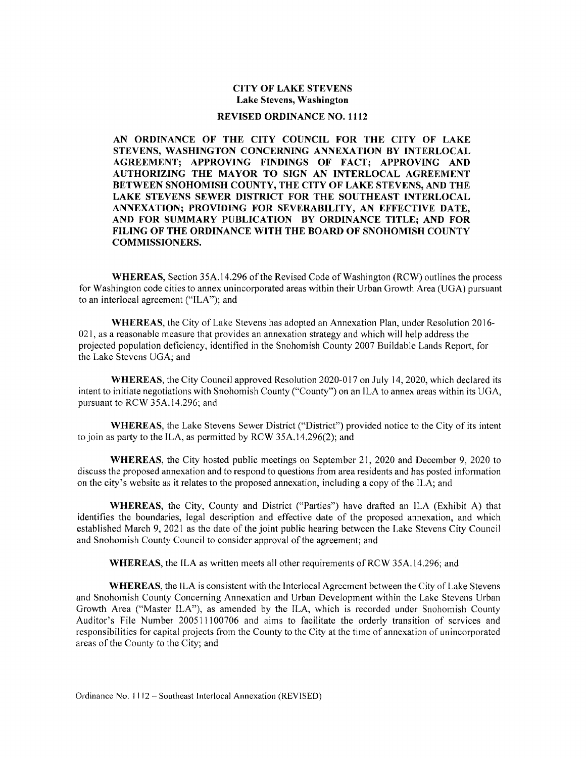## CITY OF LAKE STEVENS Lake Stevens, Washington

## REVISED ORDINANCE NO. 1112

AN ORDINANCE OF THE CITY COUNCIL FOR THE CITY OF LAKE STEVENS, WASHINGTON CONCERNING ANNEXATION BY INTERLOCAL AGREEMENT; APPROVING FINDINGS OF FACT; APPROVING AND AUTHORIZING THE MAYOR TO SIGN AN INTERLOCAL AGREEMENT BETWEEN SNOHOMISH COUNTY, THE CITY OF LAKE STEVENS, AND THE LAKE STEVENS SEWER DISTRICT FOR THE SOUTHEAST INTERLOCAL ANNEXATION; PROVIDING FOR SEVERABILITY, AN EFFECTIVE DATE, AND FOR SUMMARY PUBLICATION BY ORDINANCE TITLE; AND FOR FILING OF THE ORDINANCE WITH THE BOARD OF SNOHOMISH COUNTY COMMISSIONERS.

WHEREAS, Section 35A.14.296 of the Revised Code of Washington (RCW) outlines the process for Washington code cities to annex unincorporated areas within their Urban Growth Area (UGA) pursuant to an interlocal agreement ("ILA"); and

WHEREAS, the City of Lake Stevens has adopted an Annexation Plan, under Resolution 2016- 021, as a reasonable measure that provides an annexation strategy and which will help address the projected population deficiency, identified in the Snohomish County 2007 Buildable Lands Report, for the Lake Stevens UGA; and

WHEREAS, the City Council approved Resolution 2020-017 on July 14, 2020, which declared its intent to initiate negotiations with Snohomish County ("County") on an ILA to annex areas within its UGA, pursuant to RCW 35A.14.296; and

WHEREAS, the Lake Stevens Sewer District ("District") provided notice to the City of its intent to join as party to the ILA, as permitted by RCW 35A.14.296(2); and

WHEREAS, the City hosted public meetings on September 21, 2020 and December 9, 2020 to discuss the proposed annexation and to respond to questions from area residents and has posted information on the city's website as it relates to the proposed annexation, including a copy of the ILA; and

WHEREAS, the City, County and District ("Parties") have drafted an ILA (Exhibit A) that identifies the boundaries, legal description and effective date of the proposed annexation, and which established March 9, 2021 as the date of the joint public hearing between the Lake Stevens City Council and Snohomish County Council to consider approval of the agreement; and

WHEREAS, the ILA as written meets all other requirements of RCW 35A.14.296; and

WHEREAS, the ILA is consistent with the Interlocal Agreement between the City of Lake Stevens and Snohomish County Concerning Annexation and Urban Development within the Lake Stevens Urban Growth Area ("Master ILA"), as amended by the ILA, which is recorded under Snohomish County Auditor's File Number 200511100706 and aims to facilitate the orderly transition of services and responsibilities for capital projects from the County to the City at the time of annexation of unincorporated areas of the County to the City; and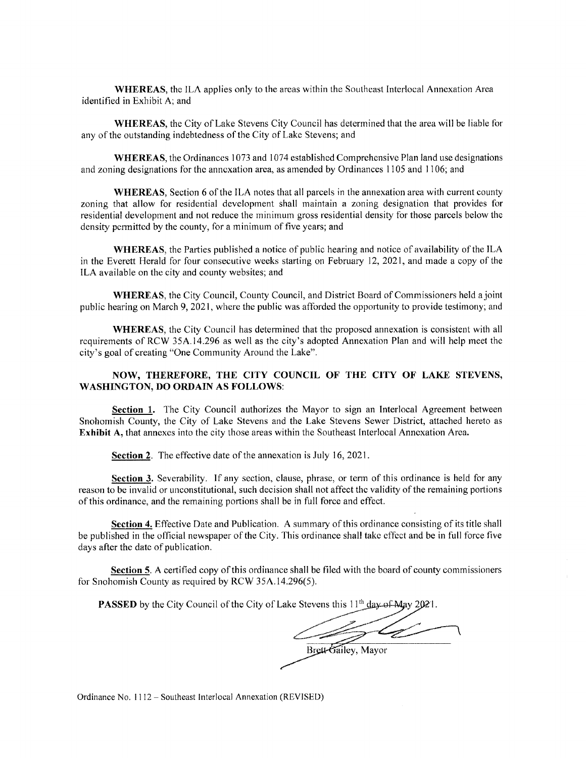WHEREAS, the ILA applies only to the areas within the Southeast Interlocal Annexation Area identified in Exhibit A; and

WHEREAS, the City of Lake Stevens City Council has determined that the area will be liable for any of the outstanding indebtedness of the City of Lake Stevens; and

WHEREAS, the Ordinances 1073 and 1074 established Comprehensive Plan land use designations and zoning designations for the annexation area, as amended by Ordinances 1105 and 1106; and

WHEREAS, Section 6 of the ILA notes that all parcels in the annexation area with current county zoning that allow for residential development shall maintain a zoning designation that provides for residential development and not reduce the minimum gross residential density for those parcels below the density permitted by the county, for a minimum of five years; and

WHEREAS, the Parties published a notice of public hearing and notice of availability of the ILA in the Everett Herald for four consecutive weeks starting on February 12, 2021, and made a copy of the ILA available on the city and county websites; and

WHEREAS, the City Council, County Council, and District Board of Commissioners held a joint public hearing on March 9, 2021, where the public was afforded the opportunity to provide testimony; and

WHEREAS, the City Council has determined that the proposed annexation is consistent with all requirements of RCW 35A.14.296 as well as the city's adopted Annexation Plan and will help meet the city's goal of creating "One Community Around the Lake".

## NOW, THEREFORE, THE CITY COUNCIL OF THE CITY OF LAKE STEVENS, WASHINGTON, DO ORDAIN AS FOLLOWS:

Section 1. The City Council authorizes the Mayor to sign an Interlocal Agreement between Snohomish County, the City of Lake Stevens and the Lake Stevens Sewer District, attached hereto as Exhibit A, that annexes into the city those areas within the Southeast Interlocal Annexation Area.

Section 2. The effective date of the annexation is July 16, 2021.

Section 3. Severability. If any section, clause, phrase, or term of this ordinance is held for any reason to be invalid or unconstitutional, such decision shall not affect the validity of the remaining portions of this ordinance, and the remaining portions shall be in full force and effect.

Section 4. Effective Date and Publication. A summary of this ordinance consisting of its title shall be published in the official newspaper of the City. This ordinance shall take effect and be in full force five days after the date of publication.

Section 5. A certified copy of this ordinance shall be filed with the board of county commissioners for Snohomish County as required by RCW 35A.14.296(5).

**PASSED** by the City Council of the City of Lake Stevens this  $11<sup>th</sup>$  day of May 2021.

Z Brett-Gailey, Mayor

Ordinance No. 1112 — Southeast Interlocal Annexation (REVISED)